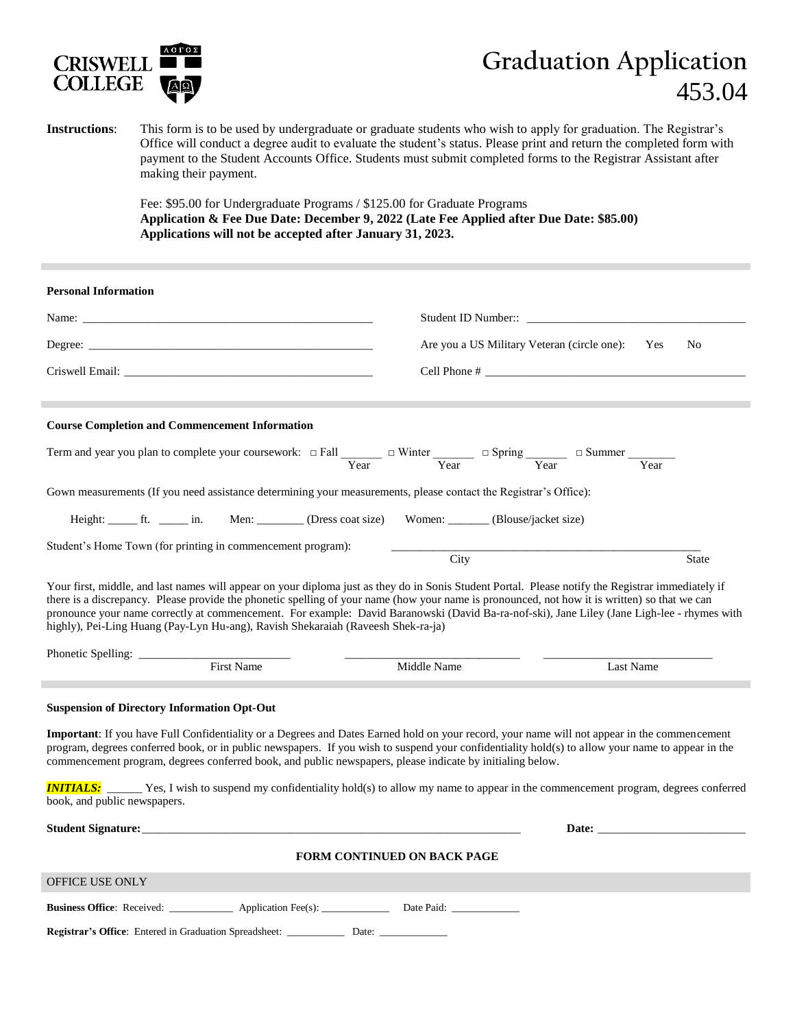

## **Graduation Application** 453.04

## **Instructions**: This form is to be used by undergraduate or graduate students who wish to apply for graduation. The Registrar's Office will conduct a degree audit to evaluate the student's status. Please print and return the completed form with payment to the Student Accounts Office. Students must submit completed forms to the Registrar Assistant after making their payment.

Fee: \$95.00 for Undergraduate Programs / \$125.00 for Graduate Programs **Application & Fee Due Date: December 9, 2022 (Late Fee Applied after Due Date: \$85.00) Applications will not be accepted after January 31, 2023.**

| <b>Personal Information</b>                                                                                                                                                                                                                                                                                                                                                                                                                                                                                                                                                                                                                          |                                             |                                                                                                                                                                                                                                |  |
|------------------------------------------------------------------------------------------------------------------------------------------------------------------------------------------------------------------------------------------------------------------------------------------------------------------------------------------------------------------------------------------------------------------------------------------------------------------------------------------------------------------------------------------------------------------------------------------------------------------------------------------------------|---------------------------------------------|--------------------------------------------------------------------------------------------------------------------------------------------------------------------------------------------------------------------------------|--|
| Name:                                                                                                                                                                                                                                                                                                                                                                                                                                                                                                                                                                                                                                                |                                             |                                                                                                                                                                                                                                |  |
|                                                                                                                                                                                                                                                                                                                                                                                                                                                                                                                                                                                                                                                      | Are you a US Military Veteran (circle one): | No<br>Yes                                                                                                                                                                                                                      |  |
| Criswell Email: New York Criswell Email:                                                                                                                                                                                                                                                                                                                                                                                                                                                                                                                                                                                                             | Cell Phone #                                |                                                                                                                                                                                                                                |  |
|                                                                                                                                                                                                                                                                                                                                                                                                                                                                                                                                                                                                                                                      |                                             |                                                                                                                                                                                                                                |  |
| <b>Course Completion and Commencement Information</b>                                                                                                                                                                                                                                                                                                                                                                                                                                                                                                                                                                                                |                                             |                                                                                                                                                                                                                                |  |
| Term and year you plan to complete your coursework: $\Box$ Fall $\frac{\Box}{\Box}$ $\Box$ Winter $\frac{\Box}{\Box}$ $\Box$ Spring $\frac{\Box}{\Box}$ $\Box$ Summer $\frac{\Box}{\Box}$ $\Box$                                                                                                                                                                                                                                                                                                                                                                                                                                                     |                                             |                                                                                                                                                                                                                                |  |
| Gown measurements (If you need assistance determining your measurements, please contact the Registrar's Office):                                                                                                                                                                                                                                                                                                                                                                                                                                                                                                                                     |                                             |                                                                                                                                                                                                                                |  |
| Height: ft. in. Men: (Dress coat size) Women: (Blouse/jacket size)                                                                                                                                                                                                                                                                                                                                                                                                                                                                                                                                                                                   |                                             |                                                                                                                                                                                                                                |  |
| Student's Home Town (for printing in commencement program):                                                                                                                                                                                                                                                                                                                                                                                                                                                                                                                                                                                          | City                                        | <b>State</b>                                                                                                                                                                                                                   |  |
| Your first, middle, and last names will appear on your diploma just as they do in Sonis Student Portal. Please notify the Registrar immediately if<br>there is a discrepancy. Please provide the phonetic spelling of your name (how your name is pronounced, not how it is written) so that we can<br>pronounce your name correctly at commencement. For example: David Baranowski (David Ba-ra-nof-ski), Jane Liley (Jane Ligh-lee - rhymes with<br>highly), Pei-Ling Huang (Pay-Lyn Hu-ang), Ravish Shekaraiah (Raveesh Shek-ra-ja)<br>First Name<br>Middle Name<br>Last Name                                                                     |                                             |                                                                                                                                                                                                                                |  |
|                                                                                                                                                                                                                                                                                                                                                                                                                                                                                                                                                                                                                                                      |                                             |                                                                                                                                                                                                                                |  |
| <b>Suspension of Directory Information Opt-Out</b><br>Important: If you have Full Confidentiality or a Degrees and Dates Earned hold on your record, your name will not appear in the commencement<br>program, degrees conferred book, or in public newspapers. If you wish to suspend your confidentiality hold(s) to allow your name to appear in the<br>commencement program, degrees conferred book, and public newspapers, please indicate by initialing below.<br><b>INITIALS:</b> Yes, I wish to suspend my confidentiality hold(s) to allow my name to appear in the commencement program, degrees conferred<br>book, and public newspapers. |                                             |                                                                                                                                                                                                                                |  |
|                                                                                                                                                                                                                                                                                                                                                                                                                                                                                                                                                                                                                                                      |                                             | Date: the contract of the contract of the contract of the contract of the contract of the contract of the contract of the contract of the contract of the contract of the contract of the contract of the contract of the cont |  |
|                                                                                                                                                                                                                                                                                                                                                                                                                                                                                                                                                                                                                                                      | <b>FORM CONTINUED ON BACK PAGE</b>          |                                                                                                                                                                                                                                |  |
| OFFICE USE ONLY                                                                                                                                                                                                                                                                                                                                                                                                                                                                                                                                                                                                                                      |                                             |                                                                                                                                                                                                                                |  |
| <b>Business Office:</b> Received: ____________ Application Fee(s): ____________ Date Paid: ______________                                                                                                                                                                                                                                                                                                                                                                                                                                                                                                                                            |                                             |                                                                                                                                                                                                                                |  |
| Registrar's Office: Entered in Graduation Spreadsheet: ______________ Date: _______________                                                                                                                                                                                                                                                                                                                                                                                                                                                                                                                                                          |                                             |                                                                                                                                                                                                                                |  |